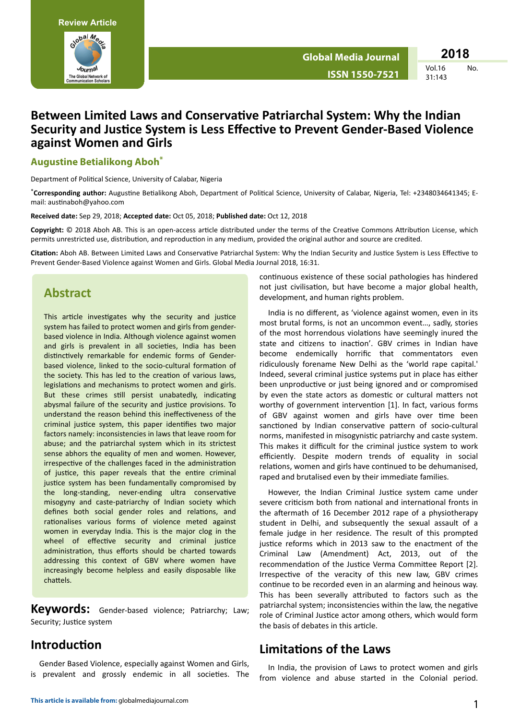

 $No$ 

# Between Limited Laws and Conservative Patriarchal System: Why the Indian Security and Justice System is Less Effective to Prevent Gender-Based Violence against Women and Girls

#### **Augustine Betialikong Aboh\***

Department of Political Science, University of Calabar, Nigeria

\*Corresponding author: Augustine Betialikong Aboh, Department of Political Science, University of Calabar, Nigeria, Tel: +2348034641345; Email: austinaboh@yahoo.com

Received date: Sep 29, 2018; Accepted date: Oct 05, 2018; Published date: Oct 12, 2018

Copyright: © 2018 Aboh AB. This is an open-access article distributed under the terms of the Creative Commons Attribution License, which permits unrestricted use, distribution, and reproduction in any medium, provided the original author and source are credited.

Citation: Aboh AB. Between Limited Laws and Conservative Patriarchal System: Why the Indian Security and Justice System is Less Effective to Prevent Gender-Based Violence against Women and Girls. Global Media Journal 2018, 16:31.

#### **Abstract**

This article investigates why the security and justice system has failed to protect women and girls from genderbased violence in India. Although violence against women and girls is prevalent in all societies, India has been distinctively remarkable for endemic forms of Genderbased violence, linked to the socio-cultural formation of the society. This has led to the creation of various laws, legislations and mechanisms to protect women and girls. But these crimes still persist unabatedly, indicating abysmal failure of the security and justice provisions. To understand the reason behind this ineffectiveness of the criminal justice system, this paper identifies two major factors namely: inconsistencies in laws that leave room for abuse; and the patriarchal system which in its strictest sense abhors the equality of men and women. However, irrespective of the challenges faced in the administration of justice, this paper reveals that the entire criminal justice system has been fundamentally compromised by the long-standing, never-ending ultra conservative misogyny and caste-patriarchy of Indian society which defines both social gender roles and relations, and rationalises various forms of violence meted against women in everyday India. This is the major clog in the wheel of effective security and criminal justice administration, thus efforts should be charted towards addressing this context of GBV where women have increasingly become helpless and easily disposable like chattels.

Keywords: Gender-based violence; Patriarchy; Law; Security; Justice system

## Introduction

Gender Based Violence, especially against Women and Girls, is prevalent and grossly endemic in all societies. The continuous existence of these social pathologies has hindered not just civilisation, but have become a major global health, development, and human rights problem.

India is no different, as 'violence against women, even in its most brutal forms, is not an uncommon event..., sadly, stories of the most horrendous violations have seemingly inured the state and citizens to inaction'. GBV crimes in Indian have become endemically horrific that commentators even ridiculously forename New Delhi as the 'world rape capital.' Indeed, several criminal justice systems put in place has either been unproductive or just being ignored and or compromised by even the state actors as domestic or cultural matters not worthy of government intervention [1]. In fact, various forms of GBV against women and girls have over time been sanctioned by Indian conservative pattern of socio-cultural norms, manifested in misogynistic patriarchy and caste system. This makes it difficult for the criminal justice system to work efficiently. Despite modern trends of equality in social relations, women and girls have continued to be dehumanised, raped and brutalised even by their immediate families.

However, the Indian Criminal Justice system came under severe criticism both from national and international fronts in the aftermath of 16 December 2012 rape of a physiotherapy student in Delhi, and subsequently the sexual assault of a female judge in her residence. The result of this prompted justice reforms which in 2013 saw to the enactment of the Criminal Law (Amendment) Act, 2013, out of the recommendation of the Justice Verma Committee Report [2]. Irrespective of the veracity of this new law, GBV crimes continue to be recorded even in an alarming and heinous way. This has been severally attributed to factors such as the patriarchal system; inconsistencies within the law, the negative role of Criminal Justice actor among others, which would form the basis of debates in this article.

### **Limitations of the Laws**

In India, the provision of Laws to protect women and girls from violence and abuse started in the Colonial period.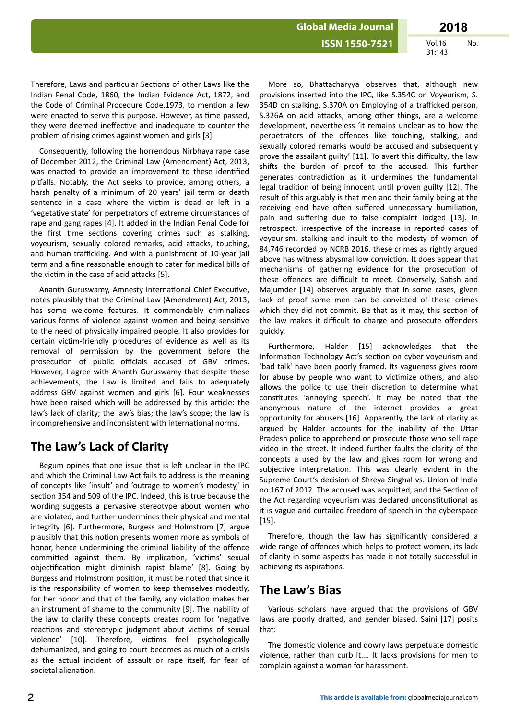Therefore, Laws and particular Sections of other Laws like the Indian Penal Code, 1860, the Indian Evidence Act, 1872, and the Code of Criminal Procedure Code, 1973, to mention a few were enacted to serve this purpose. However, as time passed, they were deemed ineffective and inadequate to counter the problem of rising crimes against women and girls [3].

Consequently, following the horrendous Nirbhaya rape case of December 2012, the Criminal Law (Amendment) Act, 2013, was enacted to provide an improvement to these identified pitfalls. Notably, the Act seeks to provide, among others, a harsh penalty of a minimum of 20 years' jail term or death sentence in a case where the victim is dead or left in a 'vegetative state' for perpetrators of extreme circumstances of rape and gang rapes [4]. It added in the Indian Penal Code for the first time sections covering crimes such as stalking, voyeurism, sexually colored remarks, acid attacks, touching, and human trafficking. And with a punishment of 10-year jail term and a fine reasonable enough to cater for medical bills of the victim in the case of acid attacks [5].

Ananth Guruswamy, Amnesty International Chief Executive, notes plausibly that the Criminal Law (Amendment) Act, 2013, has some welcome features. It commendably criminalizes various forms of violence against women and being sensitive to the need of physically impaired people. It also provides for certain victim-friendly procedures of evidence as well as its removal of permission by the government before the prosecution of public officials accused of GBV crimes. However, I agree with Ananth Guruswamy that despite these achievements, the Law is limited and fails to adequately address GBV against women and girls [6]. Four weaknesses have been raised which will be addressed by this article: the law's lack of clarity; the law's bias; the law's scope; the law is incomprehensive and inconsistent with international norms.

# **The Law's Lack of Clarity**

Begum opines that one issue that is left unclear in the IPC and which the Criminal Law Act fails to address is the meaning of concepts like 'insult' and 'outrage to women's modesty,' in section 354 and 509 of the IPC. Indeed, this is true because the wording suggests a pervasive stereotype about women who are violated, and further undermines their physical and mental integrity [6]. Furthermore, Burgess and Holmstrom [7] argue plausibly that this notion presents women more as symbols of honor, hence undermining the criminal liability of the offence committed against them. By implication, 'victims' sexual objectification might diminish rapist blame' [8]. Going by Burgess and Holmstrom position, it must be noted that since it is the responsibility of women to keep themselves modestly, for her honor and that of the family, any violation makes her an instrument of shame to the community [9]. The inability of the law to clarify these concepts creates room for 'negative reactions and stereotypic judgment about victims of sexual violence' [10]. Therefore, victims feel psychologically dehumanized, and going to court becomes as much of a crisis as the actual incident of assault or rape itself, for fear of societal alienation.

More so, Bhattacharyya observes that, although new provisions inserted into the IPC, like S.354C on Voyeurism, S. 354D on stalking, S.370A on Employing of a trafficked person, S.326A on acid attacks, among other things, are a welcome development, nevertheless 'it remains unclear as to how the perpetrators of the offences like touching, stalking, and sexually colored remarks would be accused and subsequently prove the assailant guilty' [11]. To avert this difficulty, the law shifts the burden of proof to the accused. This further generates contradiction as it undermines the fundamental legal tradition of being innocent until proven guilty [12]. The result of this arguably is that men and their family being at the receiving end have often suffered unnecessary humiliation, pain and suffering due to false complaint lodged [13]. In retrospect, irrespective of the increase in reported cases of voyeurism, stalking and insult to the modesty of women of 84,746 recorded by NCRB 2016, these crimes as rightly argued above has witness abysmal low conviction. It does appear that mechanisms of gathering evidence for the prosecution of these offences are difficult to meet. Conversely, Satish and Majumder [14] observes arguably that in some cases, given lack of proof some men can be convicted of these crimes which they did not commit. Be that as it may, this section of the law makes it difficult to charge and prosecute offenders quickly.

Furthermore, Halder [15] acknowledges that the Information Technology Act's section on cyber voyeurism and 'bad talk' have been poorly framed. Its vagueness gives room for abuse by people who want to victimize others, and also allows the police to use their discretion to determine what constitutes 'annoying speech'. It may be noted that the anonymous nature of the internet provides a great opportunity for abusers [16]. Apparently, the lack of clarity as argued by Halder accounts for the inability of the Uttar Pradesh police to apprehend or prosecute those who sell rape video in the street. It indeed further faults the clarity of the concepts a used by the law and gives room for wrong and subjective interpretation. This was clearly evident in the Supreme Court's decision of Shreya Singhal vs. Union of India no.167 of 2012. The accused was acquitted, and the Section of the Act regarding voyeurism was declared unconstitutional as it is vague and curtailed freedom of speech in the cyberspace [15].

Therefore, though the law has significantly considered a wide range of offences which helps to protect women, its lack of clarity in some aspects has made it not totally successful in achieving its aspirations.

## **The Law's Bias**

Various scholars have argued that the provisions of GBV laws are poorly drafted, and gender biased. Saini [17] posits that:

The domestic violence and dowry laws perpetuate domestic violence, rather than curb it…. It lacks provisions for men to complain against a woman for harassment.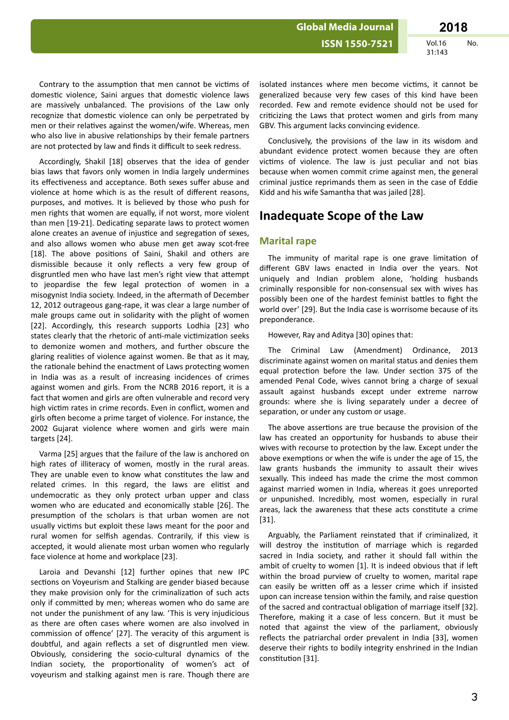Contrary to the assumption that men cannot be victims of domestic violence, Saini argues that domestic violence laws are massively unbalanced. The provisions of the Law only recognize that domestic violence can only be perpetrated by men or their relatives against the women/wife. Whereas, men who also live in abusive relationships by their female partners are not protected by law and finds it difficult to seek redress.

Accordingly, Shakil [18] observes that the idea of gender bias laws that favors only women in India largely undermines its effectiveness and acceptance. Both sexes suffer abuse and violence at home which is as the result of different reasons, purposes, and motives. It is believed by those who push for men rights that women are equally, if not worst, more violent than men [19-21]. Dedicating separate laws to protect women alone creates an avenue of injustice and segregation of sexes, and also allows women who abuse men get away scot-free [18]. The above positions of Saini, Shakil and others are dismissible because it only reflects a very few group of disgruntled men who have last men's right view that attempt to jeopardise the few legal protection of women in a misogynist India society. Indeed, in the aftermath of December 12, 2012 outrageous gang-rape, it was clear a large number of male groups came out in solidarity with the plight of women [22]. Accordingly, this research supports Lodhia [23] who states clearly that the rhetoric of anti-male victimization seeks to demonize women and mothers, and further obscure the glaring realities of violence against women. Be that as it may, the rationale behind the enactment of Laws protecting women in India was as a result of increasing incidences of crimes against women and girls. From the NCRB 2016 report, it is a fact that women and girls are often vulnerable and record very high victim rates in crime records. Even in conflict, women and girls often become a prime target of violence. For instance, the 2002 Gujarat violence where women and girls were main targets [24].

Varma [25] argues that the failure of the law is anchored on high rates of illiteracy of women, mostly in the rural areas. They are unable even to know what constitutes the law and related crimes. In this regard, the laws are elitist and undemocratic as they only protect urban upper and class women who are educated and economically stable [26]. The presumption of the scholars is that urban women are not usually victims but exploit these laws meant for the poor and rural women for selfish agendas. Contrarily, if this view is accepted, it would alienate most urban women who regularly face violence at home and workplace [23].

Laroia and Devanshi [12] further opines that new IPC sections on Voyeurism and Stalking are gender biased because they make provision only for the criminalization of such acts only if committed by men; whereas women who do same are not under the punishment of any law. 'This is very injudicious as there are often cases where women are also involved in commission of offence' [27]. The veracity of this argument is doubtful, and again reflects a set of disgruntled men view. Obviously, considering the socio-cultural dynamics of the Indian society, the proportionality of women's act of voyeurism and stalking against men is rare. Though there are

isolated instances where men become victims, it cannot be generalized because very few cases of this kind have been recorded. Few and remote evidence should not be used for criticizing the Laws that protect women and girls from many GBV. This argument lacks convincing evidence.

Conclusively, the provisions of the law in its wisdom and abundant evidence protect women because they are often victims of violence. The law is just peculiar and not bias because when women commit crime against men, the general criminal justice reprimands them as seen in the case of Eddie Kidd and his wife Samantha that was jailed [28].

### **Inadequate Scope of the Law**

#### **Marital rape**

The immunity of marital rape is one grave limitation of different GBV laws enacted in India over the years. Not uniquely and Indian problem alone, 'holding husbands criminally responsible for non-consensual sex with wives has possibly been one of the hardest feminist battles to fight the world over' [29]. But the India case is worrisome because of its preponderance.

However, Ray and Aditya [30] opines that:

The Criminal Law (Amendment) Ordinance, 2013 discriminate against women on marital status and denies them equal protection before the law. Under section 375 of the amended Penal Code, wives cannot bring a charge of sexual assault against husbands except under extreme narrow grounds: where she is living separately under a decree of separation, or under any custom or usage.

The above assertions are true because the provision of the law has created an opportunity for husbands to abuse their wives with recourse to protection by the law. Except under the above exemptions or when the wife is under the age of 15, the law grants husbands the immunity to assault their wives sexually. This indeed has made the crime the most common against married women in India, whereas it goes unreported or unpunished. Incredibly, most women, especially in rural areas, lack the awareness that these acts constitute a crime [31].

Arguably, the Parliament reinstated that if criminalized, it will destroy the institution of marriage which is regarded sacred in India society, and rather it should fall within the ambit of cruelty to women  $[1]$ . It is indeed obvious that if left within the broad purview of cruelty to women, marital rape can easily be written off as a lesser crime which if insisted upon can increase tension within the family, and raise question of the sacred and contractual obligation of marriage itself [32]. Therefore, making it a case of less concern. But it must be noted that against the view of the parliament, obviously reflects the patriarchal order prevalent in India [33], women deserve their rights to bodily integrity enshrined in the Indian constitution [31].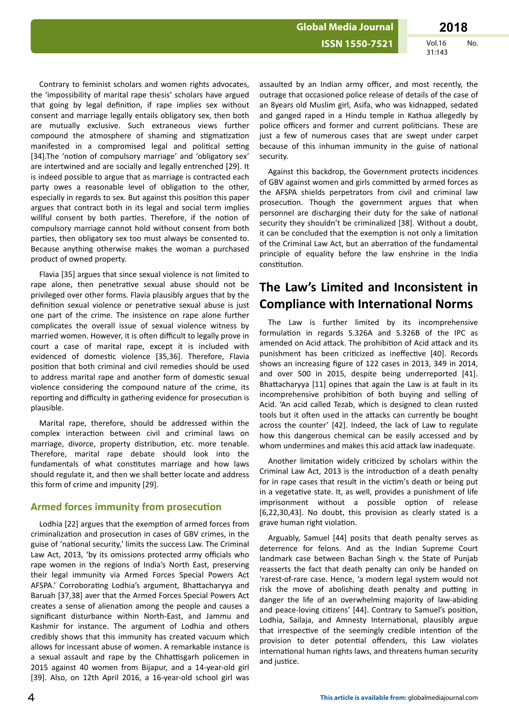Contrary to feminist scholars and women rights advocates, the 'impossibility of marital rape thesis' scholars have argued that going by legal definition, if rape implies sex without consent and marriage legally entails obligatory sex, then both are mutually exclusive. Such extraneous views further compound the atmosphere of shaming and stigmatization manifested in a compromised legal and political setting [34].The 'notion of compulsory marriage' and 'obligatory sex' are intertwined and are socially and legally entrenched [29]. It is indeed possible to argue that as marriage is contracted each party owes a reasonable level of obligation to the other. especially in regards to sex. But against this position this paper argues that contract both in its legal and social term implies willful consent by both parties. Therefore, if the notion of compulsory marriage cannot hold without consent from both parties, then obligatory sex too must always be consented to. Because anything otherwise makes the woman a purchased product of owned property.

Flavia [35] argues that since sexual violence is not limited to rape alone, then penetrative sexual abuse should not be privileged over other forms. Flavia plausibly argues that by the definition sexual violence or penetrative sexual abuse is just one part of the crime. The insistence on rape alone further complicates the overall issue of sexual violence witness by married women. However, it is often difficult to legally prove in court a case of marital rape, except it is included with evidenced of domestic violence [35,36]. Therefore, Flavia position that both criminal and civil remedies should be used to address marital rape and another form of domestic sexual violence considering the compound nature of the crime, its reporting and difficulty in gathering evidence for prosecution is plausible.

Marital rape, therefore, should be addressed within the complex interaction between civil and criminal laws on marriage, divorce, property distribution, etc. more tenable. Therefore, marital rape debate should look into the fundamentals of what constitutes marriage and how laws should regulate it, and then we shall better locate and address this form of crime and impunity [29].

#### **Armed forces immunity from prosecution**

Lodhia [22] argues that the exemption of armed forces from criminalization and prosecution in cases of GBV crimes, in the guise of 'national security,' limits the success Law. The Criminal Law Act, 2013, 'by its omissions protected army officials who rape women in the regions of India's North East, preserving their legal immunity via Armed Forces Special Powers Act AFSPA.' Corroborating Lodhia's argument, Bhattacharyya and Baruah [37,38] aver that the Armed Forces Special Powers Act creates a sense of alienation among the people and causes a significant disturbance within North-East, and Jammu and Kashmir for instance. The argument of Lodhia and others credibly shows that this immunity has created vacuum which allows for incessant abuse of women. A remarkable instance is a sexual assault and rape by the Chhattisgarh policemen in 2015 against 40 women from Bijapur, and a 14-year-old girl [39]. Also, on 12th April 2016, a 16-year-old school girl was

assaulted by an Indian army officer, and most recently, the outrage that occasioned police release of details of the case of an 8years old Muslim girl, Asifa, who was kidnapped, sedated and ganged raped in a Hindu temple in Kathua allegedly by police officers and former and current politicians. These are just a few of numerous cases that are swept under carpet because of this inhuman immunity in the guise of national security.

Against this backdrop, the Government protects incidences of GBV against women and girls committed by armed forces as the AFSPA shields perpetrators from civil and criminal law prosecution. Though the government argues that when personnel are discharging their duty for the sake of national security they shouldn't be criminalized [38]. Without a doubt, it can be concluded that the exemption is not only a limitation of the Criminal Law Act, but an aberration of the fundamental principle of equality before the law enshrine in the India constitution.

## **The Law's Limited and Inconsistent in Compliance with International Norms**

The Law is further limited by its incomprehensive formulation in regards S.326A and S.326B of the IPC as amended on Acid attack. The prohibition of Acid attack and its punishment has been criticized as ineffective [40]. Records shows an increasing figure of 122 cases in 2013, 349 in 2014, and over 500 in 2015, despite being underreported [41]. Bhattacharyya [11] opines that again the Law is at fault in its incomprehensive prohibition of both buying and selling of Acid. 'An acid called Tezab, which is designed to clean rusted tools but it often used in the attacks can currently be bought across the counter' [42]. Indeed, the lack of Law to regulate how this dangerous chemical can be easily accessed and by whom undermines and makes this acid attack law inadequate.

Another limitation widely criticized by scholars within the Criminal Law Act, 2013 is the introduction of a death penalty for in rape cases that result in the victim's death or being put in a vegetative state. It, as well, provides a punishment of life imprisonment without a possible option of release [6,22,30,43]. No doubt, this provision as clearly stated is a grave human right violation.

Arguably, Samuel [44] posits that death penalty serves as deterrence for felons. And as the Indian Supreme Court landmark case between Bachan Singh v. the State of Punjab reasserts the fact that death penalty can only be handed on 'rarest-of-rare case. Hence, 'a modern legal system would not risk the move of abolishing death penalty and putting in danger the life of an overwhelming majority of law-abiding and peace-loving citizens' [44]. Contrary to Samuel's position, Lodhia, Sailaja, and Amnesty International, plausibly argue that irrespective of the seemingly credible intention of the provision to deter potential offenders, this Law violates international human rights laws, and threatens human security and justice.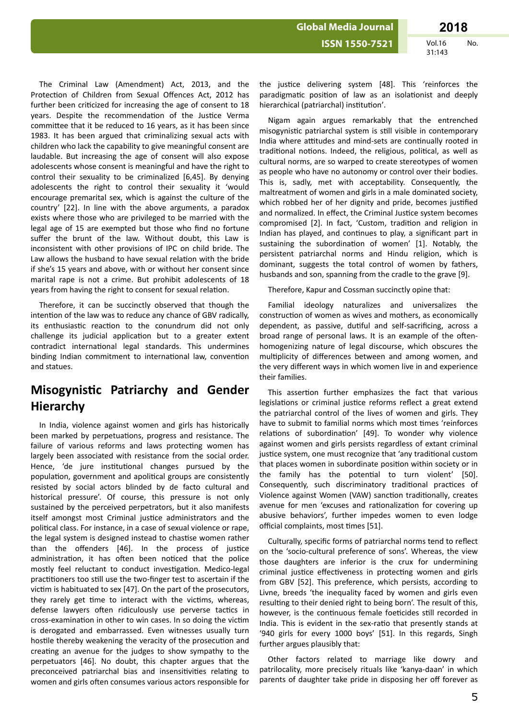The Criminal Law (Amendment) Act, 2013, and the Protection of Children from Sexual Offences Act, 2012 has further been criticized for increasing the age of consent to 18 years. Despite the recommendation of the Justice Verma committee that it be reduced to 16 years, as it has been since 1983. It has been argued that criminalizing sexual acts with children who lack the capability to give meaningful consent are laudable. But increasing the age of consent will also expose adolescents whose consent is meaningful and have the right to control their sexuality to be criminalized [6,45]. By denying adolescents the right to control their sexuality it 'would encourage premarital sex, which is against the culture of the country' [22]. In line with the above arguments, a paradox exists where those who are privileged to be married with the legal age of 15 are exempted but those who find no fortune suffer the brunt of the law. Without doubt, this Law is inconsistent with other provisions of IPC on child bride. The Law allows the husband to have sexual relation with the bride if she's 15 years and above, with or without her consent since marital rape is not a crime. But prohibit adolescents of 18 years from having the right to consent for sexual relation.

Therefore, it can be succinctly observed that though the intention of the law was to reduce any chance of GBV radically, its enthusiastic reaction to the conundrum did not only challenge its judicial application but to a greater extent contradict international legal standards. This undermines binding Indian commitment to international law, convention and statues.

## **Misogynistic Patriarchy and Gender Hierarchy**

In India, violence against women and girls has historically been marked by perpetuations, progress and resistance. The failure of various reforms and laws protecting women has largely been associated with resistance from the social order. Hence, 'de jure institutional changes pursued by the population, government and apolitical groups are consistently resisted by social actors blinded by de facto cultural and historical pressure'. Of course, this pressure is not only sustained by the perceived perpetrators, but it also manifests itself amongst most Criminal justice administrators and the political class. For instance, in a case of sexual violence or rape, the legal system is designed instead to chastise women rather than the offenders [46]. In the process of justice administration, it has often been noticed that the police mostly feel reluctant to conduct investigation. Medico-legal practitioners too still use the two-finger test to ascertain if the victim is habituated to sex [47]. On the part of the prosecutors, they rarely get time to interact with the victims, whereas, defense lawyers often ridiculously use perverse tactics in cross-examination in other to win cases. In so doing the victim is derogated and embarrassed. Even witnesses usually turn hostile thereby weakening the veracity of the prosecution and creating an avenue for the judges to show sympathy to the perpetuators [46]. No doubt, this chapter argues that the preconceived patriarchal bias and insensitivities relating to women and girls often consumes various actors responsible for

the justice delivering system [48]. This 'reinforces the paradigmatic position of law as an isolationist and deeply hierarchical (patriarchal) institution'.

Nigam again argues remarkably that the entrenched misogynistic patriarchal system is still visible in contemporary India where attitudes and mind-sets are continually rooted in traditional notions. Indeed, the religious, political, as well as cultural norms, are so warped to create stereotypes of women as people who have no autonomy or control over their bodies. This is, sadly, met with acceptability. Consequently, the maltreatment of women and girls in a male dominated society, which robbed her of her dignity and pride, becomes justified and normalized. In effect, the Criminal Justice system becomes compromised [2]. In fact, 'Custom, tradition and religion in Indian has played, and continues to play, a significant part in sustaining the subordination of women' [1]. Notably, the persistent patriarchal norms and Hindu religion, which is dominant, suggests the total control of women by fathers, husbands and son, spanning from the cradle to the grave [9].

Therefore, Kapur and Cossman succinctly opine that:

Familial ideology naturalizes and universalizes the construction of women as wives and mothers, as economically dependent, as passive, dutiful and self-sacrificing, across a broad range of personal laws. It is an example of the oftenhomogenizing nature of legal discourse, which obscures the multiplicity of differences between and among women, and the very different ways in which women live in and experience their families.

This assertion further emphasizes the fact that various legislations or criminal justice reforms reflect a great extend the patriarchal control of the lives of women and girls. They have to submit to familial norms which most times 'reinforces relations of subordination' [49]. To wonder why violence against women and girls persists regardless of extant criminal justice system, one must recognize that 'any traditional custom that places women in subordinate position within society or in the family has the potential to turn violent' [50]. Consequently, such discriminatory traditional practices of Violence against Women (VAW) sanction traditionally, creates avenue for men 'excuses and rationalization for covering up abusive behaviors', further impedes women to even lodge official complaints, most times [51].

Culturally, specific forms of patriarchal norms tend to reflect on the 'socio-cultural preference of sons'. Whereas, the view those daughters are inferior is the crux for undermining criminal justice effectiveness in protecting women and girls from GBV [52]. This preference, which persists, according to Livne, breeds 'the inequality faced by women and girls even resulting to their denied right to being born'. The result of this, however, is the continuous female foeticides still recorded in India. This is evident in the sex-ratio that presently stands at '940 girls for every 1000 boys' [51]. In this regards, Singh further argues plausibly that:

Other factors related to marriage like dowry and patrilocality, more precisely rituals like 'kanya-daan' in which parents of daughter take pride in disposing her off forever as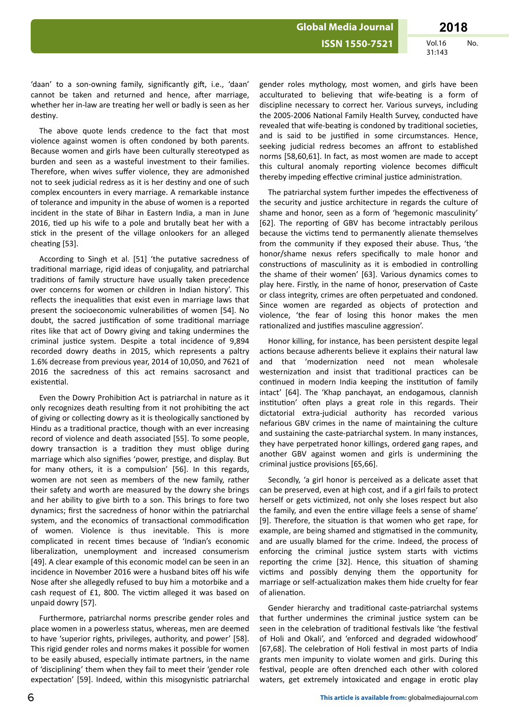**ISSN 1550-7521** 

**Vol.16** No. 31:143

'daan' to a son-owning family, significantly gift, i.e., 'daan' cannot be taken and returned and hence, after marriage, whether her in-law are treating her well or badly is seen as her destiny.

The above quote lends credence to the fact that most violence against women is often condoned by both parents. Because women and girls have been culturally stereotyped as burden and seen as a wasteful investment to their families. Therefore, when wives suffer violence, they are admonished not to seek judicial redress as it is her destiny and one of such complex encounters in every marriage. A remarkable instance of tolerance and impunity in the abuse of women is a reported incident in the state of Bihar in Eastern India, a man in June 2016, tied up his wife to a pole and brutally beat her with a stick in the present of the village onlookers for an alleged cheating [53].

According to Singh et al. [51] 'the putative sacredness of traditional marriage, rigid ideas of conjugality, and patriarchal traditions of family structure have usually taken precedence over concerns for women or children in Indian history'. This reflects the inequalities that exist even in marriage laws that present the socioeconomic vulnerabilities of women [54]. No doubt, the sacred justification of some traditional marriage rites like that act of Dowry giving and taking undermines the criminal justice system. Despite a total incidence of 9,894 recorded dowry deaths in 2015, which represents a paltry 1.6% decrease from previous vear, 2014 of 10.050, and 7621 of 2016 the sacredness of this act remains sacrosanct and existential.

Even the Dowry Prohibition Act is patriarchal in nature as it only recognizes death resulting from it not prohibiting the act of giving or collecting dowry as it is theologically sanctioned by Hindu as a traditional practice, though with an ever increasing record of violence and death associated [55]. To some people, dowry transaction is a tradition they must oblige during marriage which also signifies 'power, prestige, and display. But for many others, it is a compulsion' [56]. In this regards, women are not seen as members of the new family, rather their safety and worth are measured by the dowry she brings and her ability to give birth to a son. This brings to fore two dynamics; first the sacredness of honor within the patriarchal system, and the economics of transactional commodification of women. Violence is thus inevitable. This is more complicated in recent times because of 'Indian's economic liberalization, unemployment and increased consumerism [49]. A clear example of this economic model can be seen in an incidence in November 2016 were a husband bites off his wife Nose after she allegedly refused to buy him a motorbike and a cash request of £1, 800. The victim alleged it was based on unpaid dowry [57].

Furthermore, patriarchal norms prescribe gender roles and place women in a powerless status, whereas, men are deemed to have 'superior rights, privileges, authority, and power' [58]. This rigid gender roles and norms makes it possible for women to be easily abused, especially intimate partners, in the name of 'disciplining' them when they fail to meet their 'gender role expectation' [59]. Indeed, within this misogynistic patriarchal

gender roles mythology, most women, and girls have been acculturated to believing that wife-beating is a form of discipline necessary to correct her. Various surveys, including the 2005-2006 National Family Health Survey, conducted have revealed that wife-beating is condoned by traditional societies, and is said to be justified in some circumstances. Hence, seeking judicial redress becomes an affront to established norms [58,60,61]. In fact, as most women are made to accept this cultural anomaly reporting violence becomes difficult thereby impeding effective criminal justice administration.

The patriarchal system further impedes the effectiveness of the security and justice architecture in regards the culture of shame and honor, seen as a form of 'hegemonic masculinity' [62]. The reporting of GBV has become intractably perilous because the victims tend to permanently alienate themselves from the community if they exposed their abuse. Thus, 'the honor/shame nexus refers specifically to male honor and constructions of masculinity as it is embodied in controlling the shame of their women' [63]. Various dynamics comes to play here. Firstly, in the name of honor, preservation of Caste or class integrity, crimes are often perpetuated and condoned. Since women are regarded as objects of protection and violence, 'the fear of losing this honor makes the men rationalized and justifies masculine aggression'.

Honor killing, for instance, has been persistent despite legal actions because adherents believe it explains their natural law and that 'modernization need not mean wholesale westernization and insist that traditional practices can be continued in modern India keeping the institution of family intact' [64]. The 'Khap panchayat, an endogamous, clannish institution' often plays a great role in this regards. Their dictatorial extra-judicial authority has recorded various nefarious GBV crimes in the name of maintaining the culture and sustaining the caste-patriarchal system. In many instances, they have perpetrated honor killings, ordered gang rapes, and another GBV against women and girls is undermining the criminal justice provisions [65.66].

Secondly, 'a girl honor is perceived as a delicate asset that can be preserved, even at high cost, and if a girl fails to protect herself or gets victimized, not only she loses respect but also the family, and even the entire village feels a sense of shame' [9]. Therefore, the situation is that women who get rape, for example, are being shamed and stigmatised in the community. and are usually blamed for the crime. Indeed, the process of enforcing the criminal justice system starts with victims reporting the crime [32]. Hence, this situation of shaming victims and possibly denying them the opportunity for marriage or self-actualization makes them hide cruelty for fear of alienation.

Gender hierarchy and traditional caste-patriarchal systems that further undermines the criminal justice system can be seen in the celebration of traditional festivals like 'the festival of Holi and Okali', and 'enforced and degraded widowhood' [67,68]. The celebration of Holi festival in most parts of India grants men impunity to violate women and girls. During this festival, people are often drenched each other with colored waters, get extremely intoxicated and engage in erotic play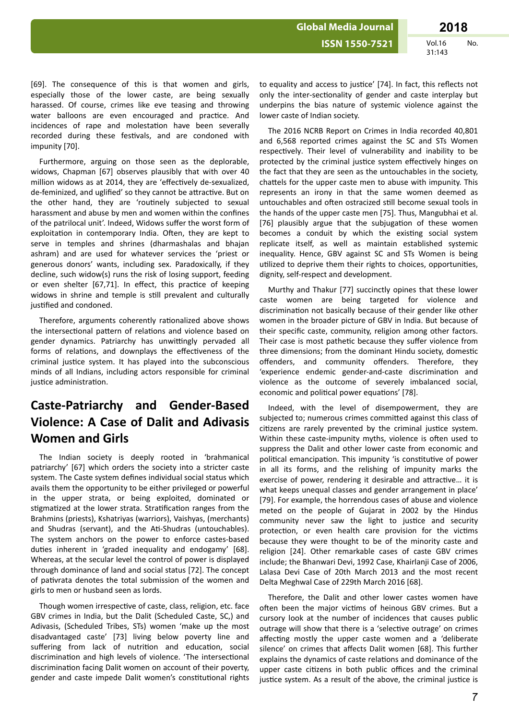31:143

[69]. The consequence of this is that women and girls, especially those of the lower caste, are being sexually harassed. Of course, crimes like eve teasing and throwing water balloons are even encouraged and practice. And incidences of rape and molestation have been severally recorded during these festivals, and are condoned with impunity [70].

Furthermore, arguing on those seen as the deplorable, widows, Chapman [67] observes plausibly that with over 40 million widows as at 2014, they are 'effectively de-sexualized, de-feminized, and uglified' so they cannot be attractive. But on the other hand, they are 'routinely subjected to sexual harassment and abuse by men and women within the confines of the patrilocal unit'. Indeed, Widows suffer the worst form of exploitation in contemporary India. Often, they are kept to serve in temples and shrines (dharmashalas and bhajan ashram) and are used for whatever services the 'priest or generous donors' wants, including sex. Paradoxically, if they decline, such widow(s) runs the risk of losing support, feeding or even shelter [67,71]. In effect, this practice of keeping widows in shrine and temple is still prevalent and culturally justified and condoned.

Therefore, arguments coherently rationalized above shows the intersectional pattern of relations and violence based on gender dynamics. Patriarchy has unwittingly pervaded all forms of relations, and downplays the effectiveness of the criminal iustice system. It has played into the subconscious minds of all Indians, including actors responsible for criminal justice administration.

# **Caste-Patriarchy and Gender-Based Violence: A Case of Dalit and Adivasis Women and Girls**

The Indian society is deeply rooted in 'brahmanical patriarchy' [67] which orders the society into a stricter caste system. The Caste system defines individual social status which avails them the opportunity to be either privileged or powerful in the upper strata, or being exploited, dominated or stigmatized at the lower strata. Stratification ranges from the Brahmins (priests), Kshatriyas (warriors), Vaishyas, (merchants) and Shudras (servant), and the Ati-Shudras (untouchables). The system anchors on the power to enforce castes-based duties inherent in 'graded inequality and endogamy' [68]. Whereas, at the secular level the control of power is displayed through dominance of land and social status [72]. The concept of pativrata denotes the total submission of the women and girls to men or husband seen as lords.

Though women irrespective of caste, class, religion, etc. face GBV crimes in India, but the Dalit (Scheduled Caste, SC,) and Adivasis, (Scheduled Tribes, STs) women 'make up the most disadvantaged caste' [73] living below poverty line and suffering from lack of nutrition and education, social discrimination and high levels of violence. 'The intersectional discrimination facing Dalit women on account of their poverty, gender and caste impede Dalit women's constitutional rights to equality and access to justice' [74]. In fact, this reflects not only the inter-sectionality of gender and caste interplay but underpins the bias nature of systemic violence against the lower caste of Indian society.

The 2016 NCRB Report on Crimes in India recorded 40,801 and 6,568 reported crimes against the SC and STs Women respectively. Their level of vulnerability and inability to be protected by the criminal justice system effectively hinges on the fact that they are seen as the untouchables in the society, chattels for the upper caste men to abuse with impunity. This represents an irony in that the same women deemed as untouchables and often ostracized still become sexual tools in the hands of the upper caste men [75]. Thus, Mangubhai et al. [76] plausibly argue that the subiugation of these women becomes a conduit by which the existing social system replicate itself, as well as maintain established systemic inequality. Hence, GBV against SC and STs Women is being utilized to deprive them their rights to choices, opportunities, dignity, self-respect and development.

Murthy and Thakur [77] succinctly opines that these lower caste women are being targeted for violence and discrimination not basically because of their gender like other women in the broader picture of GBV in India. But because of their specific caste, community, religion among other factors. Their case is most pathetic because they suffer violence from three dimensions; from the dominant Hindu society, domestic offenders, and community offenders. Therefore, they 'experience endemic gender-and-caste discrimination and violence as the outcome of severely imbalanced social, economic and political power equations' [78].

Indeed, with the level of disempowerment, they are subjected to: numerous crimes committed against this class of citizens are rarely prevented by the criminal justice system. Within these caste-impunity myths, violence is often used to suppress the Dalit and other lower caste from economic and political emancipation. This impunity 'is constitutive of power in all its forms, and the relishing of impunity marks the exercise of power, rendering it desirable and attractive... it is what keeps unequal classes and gender arrangement in place' [79]. For example, the horrendous cases of abuse and violence meted on the people of Gujarat in 2002 by the Hindus community never saw the light to justice and security protection, or even health care provision for the victims because they were thought to be of the minority caste and religion [24]. Other remarkable cases of caste GBV crimes include; the Bhanwari Devi, 1992 Case, Khairlanji Case of 2006, Lalasa Devi Case of 20th March 2013 and the most recent Delta Meghwal Case of 229th March 2016 [68].

Therefore, the Dalit and other lower castes women have often been the major victims of heinous GBV crimes. But a cursory look at the number of incidences that causes public outrage will show that there is a 'selective outrage' on crimes affecting mostly the upper caste women and a 'deliberate silence' on crimes that affects Dalit women [68]. This further explains the dynamics of caste relations and dominance of the upper caste citizens in both public offices and the criminal justice system. As a result of the above, the criminal justice is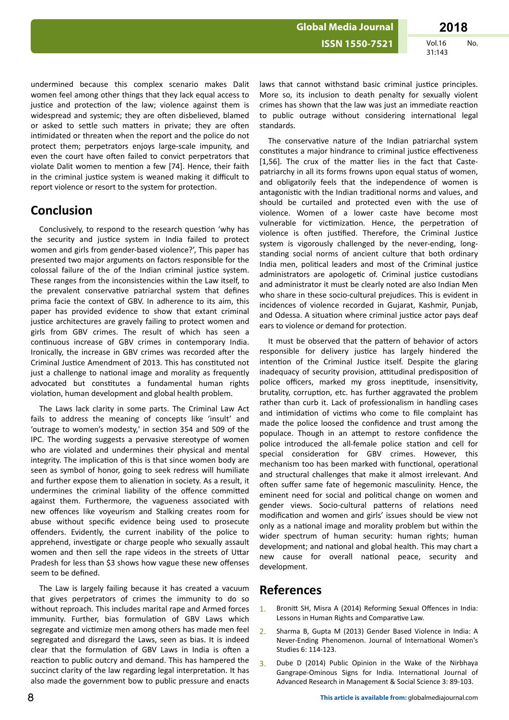**Global Media Journal** 

**Vol.16** No. 31:143

undermined because this complex scenario makes Dalit women feel among other things that they lack equal access to justice and protection of the law; violence against them is widespread and systemic; they are often disbelieved, blamed or asked to settle such matters in private; they are often intimidated or threaten when the report and the police do not protect them; perpetrators enjoys large-scale impunity, and even the court have often failed to convict perpetrators that violate Dalit women to mention a few [74]. Hence, their faith in the criminal justice system is weaned making it difficult to report violence or resort to the system for protection.

### **Conclusion**

Conclusively, to respond to the research question 'why has the security and justice system in India failed to protect women and girls from gender-based violence?', This paper has presented two major arguments on factors responsible for the colossal failure of the of the Indian criminal justice system. These ranges from the inconsistencies within the Law itself, to the prevalent conservative patriarchal system that defines prima facie the context of GBV. In adherence to its aim, this paper has provided evidence to show that extant criminal justice architectures are gravely failing to protect women and girls from GBV crimes. The result of which has seen a continuous increase of GBV crimes in contemporary India. Ironically, the increase in GBV crimes was recorded after the Criminal Justice Amendment of 2013. This has constituted not just a challenge to national image and morality as frequently advocated but constitutes a fundamental human rights violation, human development and global health problem.

The Laws lack clarity in some parts. The Criminal Law Act fails to address the meaning of concepts like 'insult' and 'outrage to women's modesty,' in section 354 and 509 of the IPC. The wording suggests a pervasive stereotype of women who are violated and undermines their physical and mental integrity. The implication of this is that since women body are seen as symbol of honor, going to seek redress will humiliate and further expose them to alienation in society. As a result, it undermines the criminal liability of the offence committed against them. Furthermore, the vagueness associated with new offences like voyeurism and Stalking creates room for abuse without specific evidence being used to prosecute offenders. Evidently, the current inability of the police to apprehend, investigate or charge people who sexually assault women and then sell the rape videos in the streets of Uttar Pradesh for less than \$3 shows how vague these new offenses seem to be defined.

The Law is largely failing because it has created a vacuum that gives perpetrators of crimes the immunity to do so without reproach. This includes marital rape and Armed forces immunity. Further, bias formulation of GBV Laws which segregate and victimize men among others has made men feel segregated and disregard the Laws, seen as bias. It is indeed clear that the formulation of GBV Laws in India is often a reaction to public outcry and demand. This has hampered the succinct clarity of the law regarding legal interpretation. It has also made the government bow to public pressure and enacts laws that cannot withstand basic criminal justice principles. More so, its inclusion to death penalty for sexually violent crimes has shown that the law was just an immediate reaction to public outrage without considering international legal standards.

The conservative nature of the Indian patriarchal system constitutes a major hindrance to criminal justice effectiveness [1,56]. The crux of the matter lies in the fact that Castepatriarchy in all its forms frowns upon equal status of women, and obligatorily feels that the independence of women is antagonistic with the Indian traditional norms and values, and should be curtailed and protected even with the use of violence. Women of a lower caste have become most vulnerable for victimization. Hence, the perpetration of violence is often justified. Therefore, the Criminal Justice system is vigorously challenged by the never-ending, longstanding social norms of ancient culture that both ordinary India men, political leaders and most of the Criminal justice administrators are apologetic of. Criminal justice custodians and administrator it must be clearly noted are also Indian Men who share in these socio-cultural prejudices. This is evident in incidences of violence recorded in Guiarat, Kashmir, Puniab. and Odessa. A situation where criminal justice actor pays deaf ears to violence or demand for protection.

It must be observed that the pattern of behavior of actors responsible for delivery justice has largely hindered the intention of the Criminal Justice itself. Despite the glaring inadequacy of security provision, attitudinal predisposition of police officers, marked my gross ineptitude, insensitivity, brutality, corruption, etc. has further aggravated the problem rather than curb it. Lack of professionalism in handling cases and intimidation of victims who come to file complaint has made the police loosed the confidence and trust among the populace. Though in an attempt to restore confidence the police introduced the all-female police station and cell for special consideration for GBV crimes. However, this mechanism too has been marked with functional, operational and structural challenges that make it almost irrelevant. And often suffer same fate of hegemonic masculinity. Hence, the eminent need for social and political change on women and gender views. Socio-cultural patterns of relations need modification and women and girls' issues should be view not only as a national image and morality problem but within the wider spectrum of human security: human rights; human development; and national and global health. This may chart a new cause for overall national peace, security and development.

### **References**

- Bronitt SH, Misra A (2014) Reforming Sexual Offences in India:  $1.$ Lessons in Human Rights and Comparative Law.
- Sharma B, Gupta M (2013) Gender Based Violence in India: A  $2<sub>1</sub>$ Never-Ending Phenomenon. Journal of International Women's Studies 6: 114-123.
- Dube D (2014) Public Opinion in the Wake of the Nirbhaya  $3.$ Gangrape-Ominous Signs for India. International Journal of Advanced Research in Management & Social Science 3: 89-103.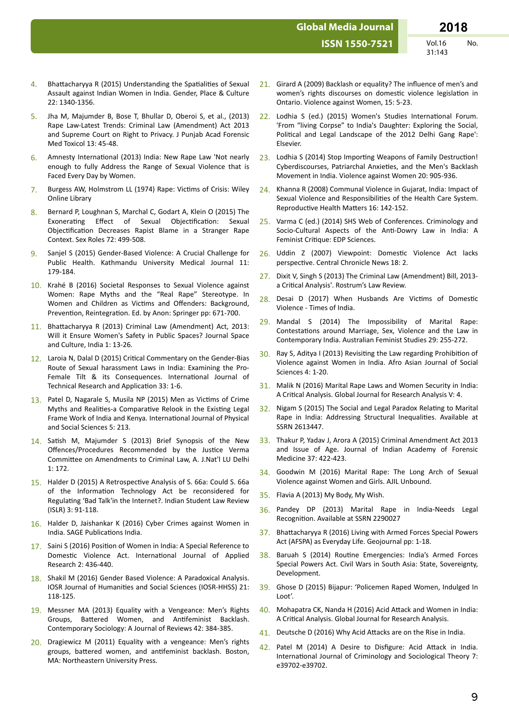**ISSN 1550-7521** 

 $Vol.16$ No. 31:143

- Bhattacharyya R (2015) Understanding the Spatialities of Sexual  $\overline{A}$ Assault against Indian Women in India. Gender, Place & Culture 22: 1340-1356.
- Jha M, Majumder B, Bose T, Bhullar D, Oberoi S, et al., (2013)  $5.$ Rape Law-Latest Trends: Criminal Law (Amendment) Act 2013 and Supreme Court on Right to Privacy. J Punjab Acad Forensic Med Toxicol 13: 45-48.
- Amnesty International (2013) India: New Rape Law 'Not nearly 6 enough to fully Address the Range of Sexual Violence that is Faced Every Day by Women.
- Burgess AW, Holmstrom LL (1974) Rape: Victims of Crisis: Wiley  $\overline{7}$ Online Library
- Bernard P, Loughnan S, Marchal C, Godart A, Klein O (2015) The 8. Exonerating Effect of Sexual Objectification: Sexual Objectification Decreases Rapist Blame in a Stranger Rape Context. Sex Roles 72: 499-508.
- Sanjel S (2015) Gender-Based Violence: A Crucial Challenge for  $\mathbf{q}$ Public Health. Kathmandu University Medical Journal 11: 179-184.
- 10. Krahé B (2016) Societal Responses to Sexual Violence against Women: Rape Myths and the "Real Rape" Stereotype. In Women and Children as Victims and Offenders: Background, Prevention, Reintegration. Ed. by Anon: Springer pp: 671-700.
- 11. Bhattacharyya R (2013) Criminal Law (Amendment) Act, 2013: Will it Ensure Women's Safety in Public Spaces? Journal Space and Culture, India 1: 13-26.
- 12. Laroia N, Dalal D (2015) Critical Commentary on the Gender-Bias Route of Sexual harassment Laws in India: Examining the Pro-Female Tilt & its Consequences. International Journal of Technical Research and Application 33: 1-6.
- 13. Patel D, Nagarale S, Musila NP (2015) Men as Victims of Crime Myths and Realities-a Comparative Relook in the Existing Legal Frame Work of India and Kenya. International Journal of Physical and Social Sciences 5: 213.
- 14. Satish M, Majumder S (2013) Brief Synopsis of the New Offences/Procedures Recommended by the Justice Verma Committee on Amendments to Criminal Law, A. J.Nat'l LU Delhi  $1:172.$
- 15. Halder D (2015) A Retrospective Analysis of S. 66a: Could S. 66a of the Information Technology Act be reconsidered for Regulating 'Bad Talk'in the Internet?. Indian Student Law Review (ISLR) 3: 91-118.
- 16. Halder D, Jaishankar K (2016) Cyber Crimes against Women in India. SAGE Publications India.
- 17. Saini S (2016) Position of Women in India: A Special Reference to Domestic Violence Act. International Journal of Applied Research 2: 436-440.
- 18. Shakil M (2016) Gender Based Violence: A Paradoxical Analysis. IOSR Journal of Humanities and Social Sciences (IOSR-HHSS) 21: 118-125.
- 19. Messner MA (2013) Equality with a Vengeance: Men's Rights Groups, Battered Women, and Antifeminist Backlash. Contemporary Sociology: A Journal of Reviews 42: 384-385.
- 20. Dragiewicz M (2011) Equality with a vengeance: Men's rights groups, battered women, and antifeminist backlash. Boston, MA: Northeastern University Press.
- 21. Girard A (2009) Backlash or equality? The influence of men's and women's rights discourses on domestic violence legislation in Ontario. Violence against Women, 15: 5-23.
- Lodhia S (ed.) (2015) Women's Studies International Forum.  $22.$ 'From "living Corpse" to India's Daughter: Exploring the Social, Political and Legal Landscape of the 2012 Delhi Gang Rape': Elsevier.
- 23. Lodhia S (2014) Stop Importing Weapons of Family Destruction! Cyberdiscourses, Patriarchal Anxieties, and the Men's Backlash Movement in India. Violence against Women 20: 905-936.
- 24. Khanna R (2008) Communal Violence in Gujarat, India: Impact of Sexual Violence and Responsibilities of the Health Care System. Reproductive Health Matters 16: 142-152.
- Varma C (ed.) (2014) SHS Web of Conferences. Criminology and 25 Socio-Cultural Aspects of the Anti-Dowry Law in India: A Feminist Critique: EDP Sciences.
- 26. Uddin Z (2007) Viewpoint: Domestic Violence Act lacks perspective. Central Chronicle News 18: 2.
- 27. Dixit V, Singh S (2013) The Criminal Law (Amendment) Bill, 2013a Critical Analysis'. Rostrum's Law Review.
- 28. Desai D (2017) When Husbands Are Victims of Domestic Violence - Times of India
- 29. Mandal S (2014) The Impossibility of Marital Rape: Contestations around Marriage, Sex, Violence and the Law in Contemporary India. Australian Feminist Studies 29: 255-272.
- 30. Ray S, Aditya I (2013) Revisiting the Law regarding Prohibition of Violence against Women in India. Afro Asian Journal of Social Sciences 4: 1-20.
- 31. Malik N (2016) Marital Rape Laws and Women Security in India: A Critical Analysis. Global Journal for Research Analysis V: 4.
- Nigam S (2015) The Social and Legal Paradox Relating to Marital  $32.$ Rape in India: Addressing Structural Inequalities. Available at SSRN 2613447.
- 33. Thakur P, Yadav J, Arora A (2015) Criminal Amendment Act 2013 and Issue of Age. Journal of Indian Academy of Forensic Medicine 37: 422-423.
- 34. Goodwin M (2016) Marital Rape: The Long Arch of Sexual Violence against Women and Girls. AJIL Unbound.
- 35. Flavia A (2013) My Body, My Wish.
- 36. Pandey DP (2013) Marital Rape in India-Needs Legal Recognition. Available at SSRN 2290027
- 37. Bhattacharyya R (2016) Living with Armed Forces Special Powers Act (AFSPA) as Everyday Life. Geojournal pp: 1-18.
- 38. Baruah S (2014) Routine Emergencies: India's Armed Forces Special Powers Act. Civil Wars in South Asia: State, Sovereignty, Development.
- 39. Ghose D (2015) Bijapur: 'Policemen Raped Women, Indulged In  $Inot'$
- 40. Mohapatra CK, Nanda H (2016) Acid Attack and Women in India: A Critical Analysis. Global Journal for Research Analysis.
- 41. Deutsche D (2016) Why Acid Attacks are on the Rise in India.
- 42. Patel M (2014) A Desire to Disfigure: Acid Attack in India. International Journal of Criminology and Sociological Theory 7: A39702-A39702